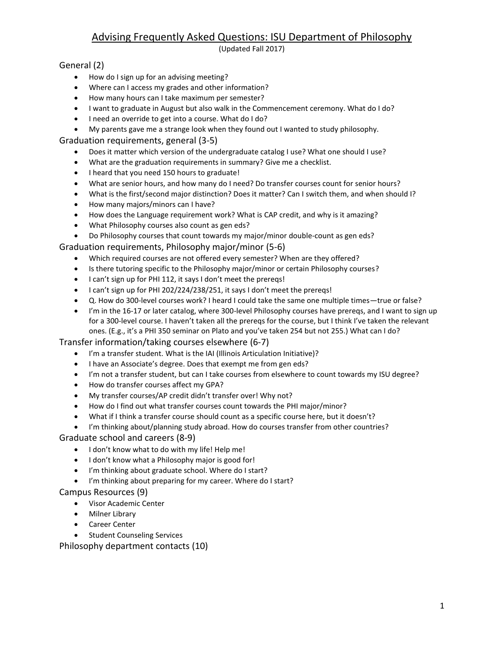# Advising Frequently Asked Questions: ISU Department of Philosophy

(Updated Fall 2017)

### General (2)

- How do I sign up for an advising meeting?
- Where can I access my grades and other information?
- How many hours can I take maximum per semester?
- I want to graduate in August but also walk in the Commencement ceremony. What do I do?
- I need an override to get into a course. What do I do?
- My parents gave me a strange look when they found out I wanted to study philosophy.

Graduation requirements, general (3-5)

- Does it matter which version of the undergraduate catalog I use? What one should I use?
- What are the graduation requirements in summary? Give me a checklist.
- I heard that you need 150 hours to graduate!
- What are senior hours, and how many do I need? Do transfer courses count for senior hours?
- What is the first/second major distinction? Does it matter? Can I switch them, and when should I?
- How many majors/minors can I have?
- How does the Language requirement work? What is CAP credit, and why is it amazing?
- What Philosophy courses also count as gen eds?
- Do Philosophy courses that count towards my major/minor double-count as gen eds?

Graduation requirements, Philosophy major/minor (5-6)

- Which required courses are not offered every semester? When are they offered?
- Is there tutoring specific to the Philosophy major/minor or certain Philosophy courses?
- I can't sign up for PHI 112, it says I don't meet the prereqs!
- I can't sign up for PHI 202/224/238/251, it says I don't meet the prereqs!
- Q. How do 300-level courses work? I heard I could take the same one multiple times—true or false?
- I'm in the 16-17 or later catalog, where 300-level Philosophy courses have prereqs, and I want to sign up for a 300-level course. I haven't taken all the prereqs for the course, but I think I've taken the relevant ones. (E.g., it's a PHI 350 seminar on Plato and you've taken 254 but not 255.) What can I do?

Transfer information/taking courses elsewhere (6-7)

- I'm a transfer student. What is the IAI (Illinois Articulation Initiative)?
- I have an Associate's degree. Does that exempt me from gen eds?
- I'm not a transfer student, but can I take courses from elsewhere to count towards my ISU degree?
- How do transfer courses affect my GPA?
- My transfer courses/AP credit didn't transfer over! Why not?
- How do I find out what transfer courses count towards the PHI major/minor?
- What if I think a transfer course should count as a specific course here, but it doesn't?
- I'm thinking about/planning study abroad. How do courses transfer from other countries?

Graduate school and careers (8-9)

- $\bullet$  I don't know what to do with my life! Help me!
- I don't know what a Philosophy major is good for!
- I'm thinking about graduate school. Where do I start?
- I'm thinking about preparing for my career. Where do I start?

### Campus Resources (9)

- Visor Academic Center
- Milner Library
- Career Center
- **•** Student Counseling Services

Philosophy department contacts (10)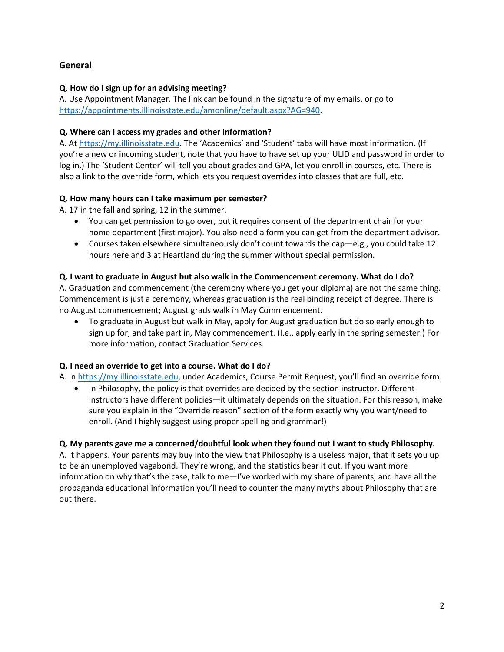# **General**

### **Q. How do I sign up for an advising meeting?**

A. Use Appointment Manager. The link can be found in the signature of my emails, or go to [https://appointments.illinoisstate.edu/amonline/default.aspx?AG=940.](https://appointments.illinoisstate.edu/amonline/default.aspx?AG=940)

### **Q. Where can I access my grades and other information?**

A. At [https://my.illinoisstate.edu](https://my.illinoisstate.edu/). The 'Academics' and 'Student' tabs will have most information. (If you're a new or incoming student, note that you have to have set up your ULID and password in order to log in.) The 'Student Center' will tell you about grades and GPA, let you enroll in courses, etc. There is also a link to the override form, which lets you request overrides into classes that are full, etc.

# **Q. How many hours can I take maximum per semester?**

A. 17 in the fall and spring, 12 in the summer.

- You can get permission to go over, but it requires consent of the department chair for your home department (first major). You also need a form you can get from the department advisor.
- Courses taken elsewhere simultaneously don't count towards the cap—e.g., you could take 12 hours here and 3 at Heartland during the summer without special permission.

# **Q. I want to graduate in August but also walk in the Commencement ceremony. What do I do?**

A. Graduation and commencement (the ceremony where you get your diploma) are not the same thing. Commencement is just a ceremony, whereas graduation is the real binding receipt of degree. There is no August commencement; August grads walk in May Commencement.

 To graduate in August but walk in May, apply for August graduation but do so early enough to sign up for, and take part in, May commencement. (I.e., apply early in the spring semester.) For more information, contact Graduation Services.

### **Q. I need an override to get into a course. What do I do?**

A. I[n https://my.illinoisstate.edu,](https://my.illinoisstate.edu/) under Academics, Course Permit Request, you'll find an override form.

• In Philosophy, the policy is that overrides are decided by the section instructor. Different instructors have different policies—it ultimately depends on the situation. For this reason, make sure you explain in the "Override reason" section of the form exactly why you want/need to enroll. (And I highly suggest using proper spelling and grammar!)

### **Q. My parents gave me a concerned/doubtful look when they found out I want to study Philosophy.**

A. It happens. Your parents may buy into the view that Philosophy is a useless major, that it sets you up to be an unemployed vagabond. They're wrong, and the statistics bear it out. If you want more information on why that's the case, talk to me—I've worked with my share of parents, and have all the propaganda educational information you'll need to counter the many myths about Philosophy that are out there.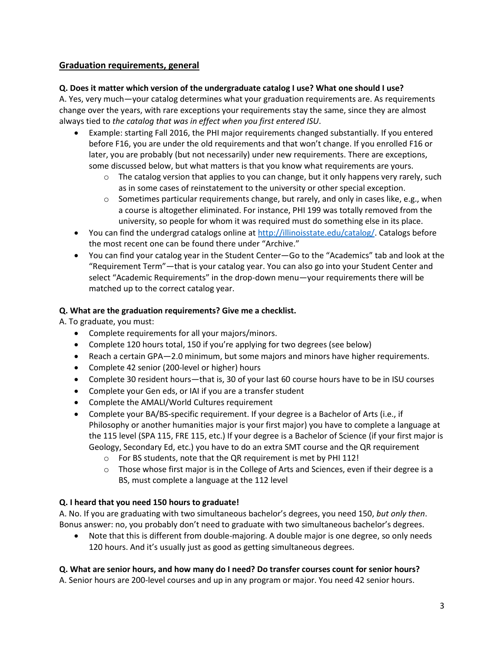# **Graduation requirements, general**

### **Q. Does it matter which version of the undergraduate catalog I use? What one should I use?**

A. Yes, very much—your catalog determines what your graduation requirements are. As requirements change over the years, with rare exceptions your requirements stay the same, since they are almost always tied to *the catalog that was in effect when you first entered ISU*.

- Example: starting Fall 2016, the PHI major requirements changed substantially. If you entered before F16, you are under the old requirements and that won't change. If you enrolled F16 or later, you are probably (but not necessarily) under new requirements. There are exceptions, some discussed below, but what matters is that you know what requirements are yours.
	- $\circ$  The catalog version that applies to you can change, but it only happens very rarely, such as in some cases of reinstatement to the university or other special exception.
	- $\circ$  Sometimes particular requirements change, but rarely, and only in cases like, e.g., when a course is altogether eliminated. For instance, PHI 199 was totally removed from the university, so people for whom it was required must do something else in its place.
- You can find the undergrad catalogs online at [http://illinoisstate.edu/catalog/.](http://illinoisstate.edu/catalog/) Catalogs before the most recent one can be found there under "Archive."
- You can find your catalog year in the Student Center—Go to the "Academics" tab and look at the "Requirement Term"—that is your catalog year. You can also go into your Student Center and select "Academic Requirements" in the drop-down menu—your requirements there will be matched up to the correct catalog year.

### **Q. What are the graduation requirements? Give me a checklist.**

A. To graduate, you must:

- Complete requirements for all your majors/minors.
- Complete 120 hours total, 150 if you're applying for two degrees (see below)
- Reach a certain GPA—2.0 minimum, but some majors and minors have higher requirements.
- Complete 42 senior (200-level or higher) hours
- Complete 30 resident hours—that is, 30 of your last 60 course hours have to be in ISU courses
- Complete your Gen eds, or IAI if you are a transfer student
- Complete the AMALI/World Cultures requirement
- Complete your BA/BS-specific requirement. If your degree is a Bachelor of Arts (i.e., if Philosophy or another humanities major is your first major) you have to complete a language at the 115 level (SPA 115, FRE 115, etc.) If your degree is a Bachelor of Science (if your first major is Geology, Secondary Ed, etc.) you have to do an extra SMT course and the QR requirement
	- o For BS students, note that the QR requirement is met by PHI 112!
	- o Those whose first major is in the College of Arts and Sciences, even if their degree is a BS, must complete a language at the 112 level

### **Q. I heard that you need 150 hours to graduate!**

A. No. If you are graduating with two simultaneous bachelor's degrees, you need 150, *but only then*. Bonus answer: no, you probably don't need to graduate with two simultaneous bachelor's degrees.

 Note that this is different from double-majoring. A double major is one degree, so only needs 120 hours. And it's usually just as good as getting simultaneous degrees.

### **Q. What are senior hours, and how many do I need? Do transfer courses count for senior hours?**

A. Senior hours are 200-level courses and up in any program or major. You need 42 senior hours.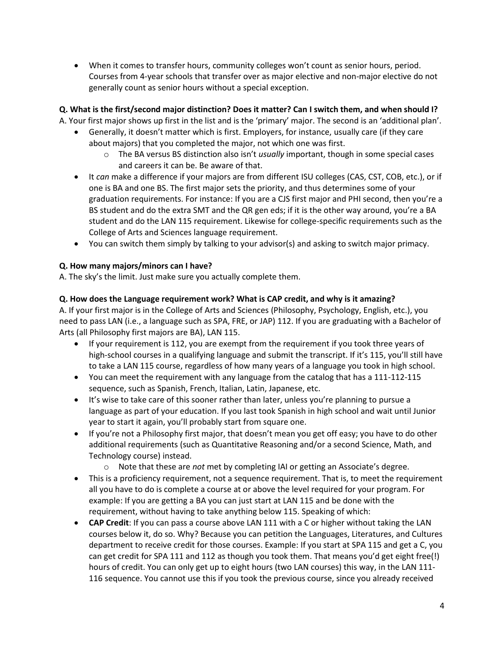When it comes to transfer hours, community colleges won't count as senior hours, period. Courses from 4-year schools that transfer over as major elective and non-major elective do not generally count as senior hours without a special exception.

# **Q. What is the first/second major distinction? Does it matter? Can I switch them, and when should I?**

A. Your first major shows up first in the list and is the 'primary' major. The second is an 'additional plan'.

- Generally, it doesn't matter which is first. Employers, for instance, usually care (if they care about majors) that you completed the major, not which one was first.
	- o The BA versus BS distinction also isn't *usually* important, though in some special cases and careers it can be. Be aware of that.
- It *can* make a difference if your majors are from different ISU colleges (CAS, CST, COB, etc.), or if one is BA and one BS. The first major sets the priority, and thus determines some of your graduation requirements. For instance: If you are a CJS first major and PHI second, then you're a BS student and do the extra SMT and the QR gen eds; if it is the other way around, you're a BA student and do the LAN 115 requirement. Likewise for college-specific requirements such as the College of Arts and Sciences language requirement.
- You can switch them simply by talking to your advisor(s) and asking to switch major primacy.

### **Q. How many majors/minors can I have?**

A. The sky's the limit. Just make sure you actually complete them.

#### **Q. How does the Language requirement work? What is CAP credit, and why is it amazing?**

A. If your first major is in the College of Arts and Sciences (Philosophy, Psychology, English, etc.), you need to pass LAN (i.e., a language such as SPA, FRE, or JAP) 112. If you are graduating with a Bachelor of Arts (all Philosophy first majors are BA), LAN 115.

- If your requirement is 112, you are exempt from the requirement if you took three years of high-school courses in a qualifying language and submit the transcript. If it's 115, you'll still have to take a LAN 115 course, regardless of how many years of a language you took in high school.
- You can meet the requirement with any language from the catalog that has a 111-112-115 sequence, such as Spanish, French, Italian, Latin, Japanese, etc.
- It's wise to take care of this sooner rather than later, unless you're planning to pursue a language as part of your education. If you last took Spanish in high school and wait until Junior year to start it again, you'll probably start from square one.
- If you're not a Philosophy first major, that doesn't mean you get off easy; you have to do other additional requirements (such as Quantitative Reasoning and/or a second Science, Math, and Technology course) instead.
	- o Note that these are *not* met by completing IAI or getting an Associate's degree.
- This is a proficiency requirement, not a sequence requirement. That is, to meet the requirement all you have to do is complete a course at or above the level required for your program. For example: If you are getting a BA you can just start at LAN 115 and be done with the requirement, without having to take anything below 115. Speaking of which:
- **CAP Credit**: If you can pass a course above LAN 111 with a C or higher without taking the LAN courses below it, do so. Why? Because you can petition the Languages, Literatures, and Cultures department to receive credit for those courses. Example: If you start at SPA 115 and get a C, you can get credit for SPA 111 and 112 as though you took them. That means you'd get eight free(!) hours of credit. You can only get up to eight hours (two LAN courses) this way, in the LAN 111- 116 sequence. You cannot use this if you took the previous course, since you already received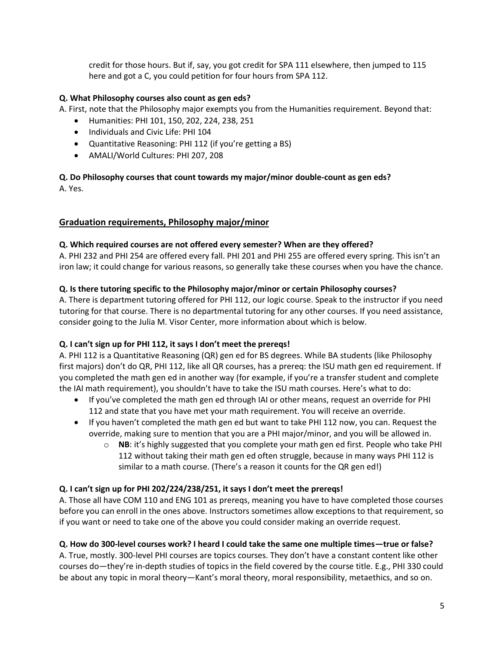credit for those hours. But if, say, you got credit for SPA 111 elsewhere, then jumped to 115 here and got a C, you could petition for four hours from SPA 112.

### **Q. What Philosophy courses also count as gen eds?**

A. First, note that the Philosophy major exempts you from the Humanities requirement. Beyond that:

- Humanities: PHI 101, 150, 202, 224, 238, 251
- Individuals and Civic Life: PHI 104
- Quantitative Reasoning: PHI 112 (if you're getting a BS)
- AMALI/World Cultures: PHI 207, 208

# **Q. Do Philosophy courses that count towards my major/minor double-count as gen eds?**

A. Yes.

### **Graduation requirements, Philosophy major/minor**

### **Q. Which required courses are not offered every semester? When are they offered?**

A. PHI 232 and PHI 254 are offered every fall. PHI 201 and PHI 255 are offered every spring. This isn't an iron law; it could change for various reasons, so generally take these courses when you have the chance.

#### **Q. Is there tutoring specific to the Philosophy major/minor or certain Philosophy courses?**

A. There is department tutoring offered for PHI 112, our logic course. Speak to the instructor if you need tutoring for that course. There is no departmental tutoring for any other courses. If you need assistance, consider going to the Julia M. Visor Center, more information about which is below.

### **Q. I can't sign up for PHI 112, it says I don't meet the prereqs!**

A. PHI 112 is a Quantitative Reasoning (QR) gen ed for BS degrees. While BA students (like Philosophy first majors) don't do QR, PHI 112, like all QR courses, has a prereq: the ISU math gen ed requirement. If you completed the math gen ed in another way (for example, if you're a transfer student and complete the IAI math requirement), you shouldn't have to take the ISU math courses. Here's what to do:

- If you've completed the math gen ed through IAI or other means, request an override for PHI 112 and state that you have met your math requirement. You will receive an override.
- If you haven't completed the math gen ed but want to take PHI 112 now, you can. Request the override, making sure to mention that you are a PHI major/minor, and you will be allowed in.
	- o **NB**: it's highly suggested that you complete your math gen ed first. People who take PHI 112 without taking their math gen ed often struggle, because in many ways PHI 112 is similar to a math course. (There's a reason it counts for the QR gen ed!)

### **Q. I can't sign up for PHI 202/224/238/251, it says I don't meet the prereqs!**

A. Those all have COM 110 and ENG 101 as prereqs, meaning you have to have completed those courses before you can enroll in the ones above. Instructors sometimes allow exceptions to that requirement, so if you want or need to take one of the above you could consider making an override request.

### **Q. How do 300-level courses work? I heard I could take the same one multiple times—true or false?**

A. True, mostly. 300-level PHI courses are topics courses. They don't have a constant content like other courses do—they're in-depth studies of topics in the field covered by the course title. E.g., PHI 330 could be about any topic in moral theory—Kant's moral theory, moral responsibility, metaethics, and so on.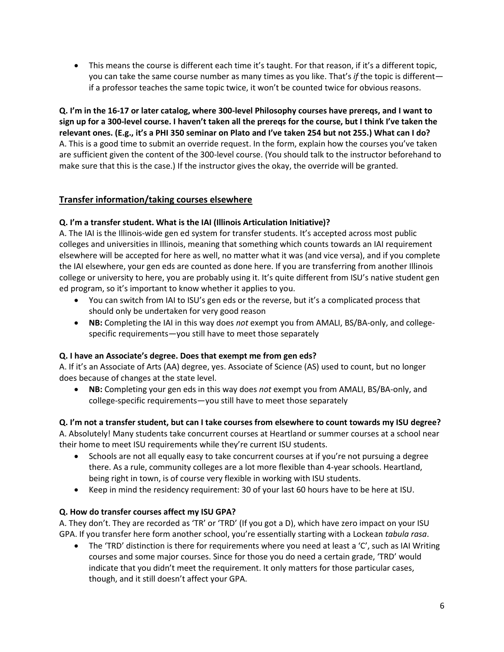This means the course is different each time it's taught. For that reason, if it's a different topic, you can take the same course number as many times as you like. That's *if* the topic is different if a professor teaches the same topic twice, it won't be counted twice for obvious reasons.

**Q. I'm in the 16-17 or later catalog, where 300-level Philosophy courses have prereqs, and I want to sign up for a 300-level course. I haven't taken all the prereqs for the course, but I think I've taken the relevant ones. (E.g., it's a PHI 350 seminar on Plato and I've taken 254 but not 255.) What can I do?** A. This is a good time to submit an override request. In the form, explain how the courses you've taken are sufficient given the content of the 300-level course. (You should talk to the instructor beforehand to make sure that this is the case.) If the instructor gives the okay, the override will be granted.

# **Transfer information/taking courses elsewhere**

### **Q. I'm a transfer student. What is the IAI (Illinois Articulation Initiative)?**

A. The IAI is the Illinois-wide gen ed system for transfer students. It's accepted across most public colleges and universities in Illinois, meaning that something which counts towards an IAI requirement elsewhere will be accepted for here as well, no matter what it was (and vice versa), and if you complete the IAI elsewhere, your gen eds are counted as done here. If you are transferring from another Illinois college or university to here, you are probably using it. It's quite different from ISU's native student gen ed program, so it's important to know whether it applies to you.

- You can switch from IAI to ISU's gen eds or the reverse, but it's a complicated process that should only be undertaken for very good reason
- **NB:** Completing the IAI in this way does *not* exempt you from AMALI, BS/BA-only, and collegespecific requirements—you still have to meet those separately

### **Q. I have an Associate's degree. Does that exempt me from gen eds?**

A. If it's an Associate of Arts (AA) degree, yes. Associate of Science (AS) used to count, but no longer does because of changes at the state level.

 **NB:** Completing your gen eds in this way does *not* exempt you from AMALI, BS/BA-only, and college-specific requirements—you still have to meet those separately

### **Q. I'm not a transfer student, but can I take courses from elsewhere to count towards my ISU degree?**

A. Absolutely! Many students take concurrent courses at Heartland or summer courses at a school near their home to meet ISU requirements while they're current ISU students.

- Schools are not all equally easy to take concurrent courses at if you're not pursuing a degree there. As a rule, community colleges are a lot more flexible than 4-year schools. Heartland, being right in town, is of course very flexible in working with ISU students.
- Keep in mind the residency requirement: 30 of your last 60 hours have to be here at ISU.

#### **Q. How do transfer courses affect my ISU GPA?**

A. They don't. They are recorded as 'TR' or 'TRD' (If you got a D), which have zero impact on your ISU GPA. If you transfer here form another school, you're essentially starting with a Lockean *tabula rasa*.

 The 'TRD' distinction is there for requirements where you need at least a 'C', such as IAI Writing courses and some major courses. Since for those you do need a certain grade, 'TRD' would indicate that you didn't meet the requirement. It only matters for those particular cases, though, and it still doesn't affect your GPA.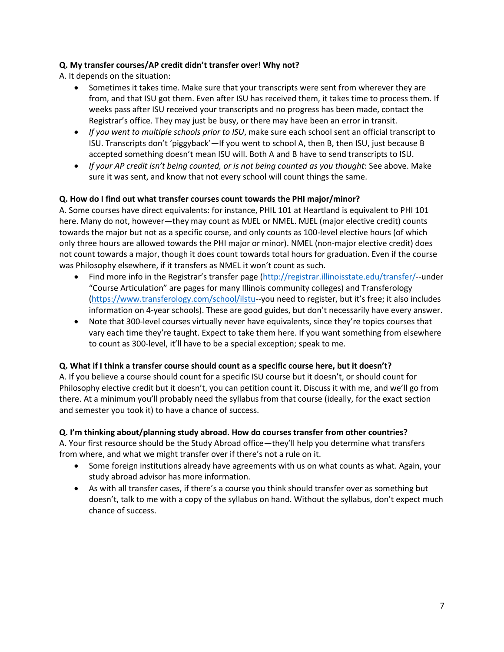### **Q. My transfer courses/AP credit didn't transfer over! Why not?**

A. It depends on the situation:

- Sometimes it takes time. Make sure that your transcripts were sent from wherever they are from, and that ISU got them. Even after ISU has received them, it takes time to process them. If weeks pass after ISU received your transcripts and no progress has been made, contact the Registrar's office. They may just be busy, or there may have been an error in transit.
- *If you went to multiple schools prior to ISU*, make sure each school sent an official transcript to ISU. Transcripts don't 'piggyback'—If you went to school A, then B, then ISU, just because B accepted something doesn't mean ISU will. Both A and B have to send transcripts to ISU.
- *If your AP credit isn't being counted, or is not being counted as you thought*: See above. Make sure it was sent, and know that not every school will count things the same.

# **Q. How do I find out what transfer courses count towards the PHI major/minor?**

A. Some courses have direct equivalents: for instance, PHIL 101 at Heartland is equivalent to PHI 101 here. Many do not, however—they may count as MJEL or NMEL. MJEL (major elective credit) counts towards the major but not as a specific course, and only counts as 100-level elective hours (of which only three hours are allowed towards the PHI major or minor). NMEL (non-major elective credit) does not count towards a major, though it does count towards total hours for graduation. Even if the course was Philosophy elsewhere, if it transfers as NMEL it won't count as such.

- Find more info in the Registrar's transfer page ([http://registrar.illinoisstate.edu/transfer/-](http://registrar.illinoisstate.edu/transfer/)-under "Course Articulation" are pages for many Illinois community colleges) and Transferology [\(https://www.transferology.com/school/ilstu-](https://www.transferology.com/school/ilstu)-you need to register, but it's free; it also includes information on 4-year schools). These are good guides, but don't necessarily have every answer.
- Note that 300-level courses virtually never have equivalents, since they're topics courses that vary each time they're taught. Expect to take them here. If you want something from elsewhere to count as 300-level, it'll have to be a special exception; speak to me.

### **Q. What if I think a transfer course should count as a specific course here, but it doesn't?**

A. If you believe a course should count for a specific ISU course but it doesn't, or should count for Philosophy elective credit but it doesn't, you can petition count it. Discuss it with me, and we'll go from there. At a minimum you'll probably need the syllabus from that course (ideally, for the exact section and semester you took it) to have a chance of success.

### **Q. I'm thinking about/planning study abroad. How do courses transfer from other countries?**

A. Your first resource should be the Study Abroad office—they'll help you determine what transfers from where, and what we might transfer over if there's not a rule on it.

- Some foreign institutions already have agreements with us on what counts as what. Again, your study abroad advisor has more information.
- As with all transfer cases, if there's a course you think should transfer over as something but doesn't, talk to me with a copy of the syllabus on hand. Without the syllabus, don't expect much chance of success.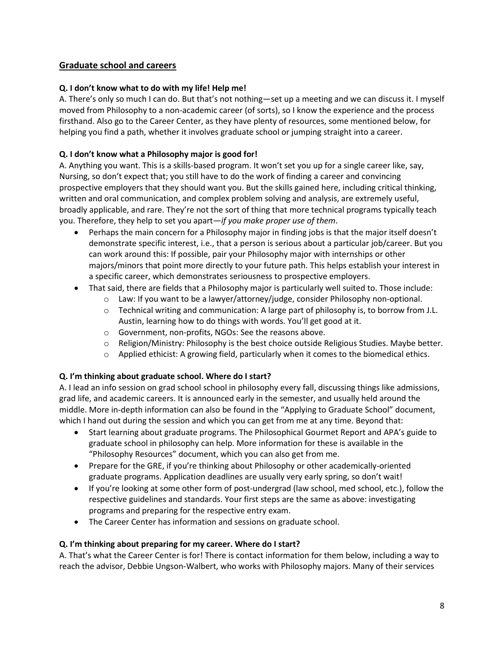# **Graduate school and careers**

### **Q. I don't know what to do with my life! Help me!**

A. There's only so much I can do. But that's not nothing—set up a meeting and we can discuss it. I myself moved from Philosophy to a non-academic career (of sorts), so I know the experience and the process firsthand. Also go to the Career Center, as they have plenty of resources, some mentioned below, for helping you find a path, whether it involves graduate school or jumping straight into a career.

# **Q. I don't know what a Philosophy major is good for!**

A. Anything you want. This is a skills-based program. It won't set you up for a single career like, say, Nursing, so don't expect that; you still have to do the work of finding a career and convincing prospective employers that they should want you. But the skills gained here, including critical thinking, written and oral communication, and complex problem solving and analysis, are extremely useful, broadly applicable, and rare. They're not the sort of thing that more technical programs typically teach you. Therefore, they help to set you apart—*if you make proper use of them*.

- Perhaps the main concern for a Philosophy major in finding jobs is that the major itself doesn't demonstrate specific interest, i.e., that a person is serious about a particular job/career. But you can work around this: If possible, pair your Philosophy major with internships or other majors/minors that point more directly to your future path. This helps establish your interest in a specific career, which demonstrates seriousness to prospective employers.
- That said, there are fields that a Philosophy major is particularly well suited to. Those include:
	- o Law: If you want to be a lawyer/attorney/judge, consider Philosophy non-optional.
	- $\circ$  Technical writing and communication: A large part of philosophy is, to borrow from J.L. Austin, learning how to do things with words. You'll get good at it.
	- o Government, non-profits, NGOs: See the reasons above.
	- o Religion/Ministry: Philosophy is the best choice outside Religious Studies. Maybe better.
	- $\circ$  Applied ethicist: A growing field, particularly when it comes to the biomedical ethics.

### **Q. I'm thinking about graduate school. Where do I start?**

A. I lead an info session on grad school school in philosophy every fall, discussing things like admissions, grad life, and academic careers. It is announced early in the semester, and usually held around the middle. More in-depth information can also be found in the "Applying to Graduate School" document, which I hand out during the session and which you can get from me at any time. Beyond that:

- Start learning about graduate programs. The Philosophical Gourmet Report and APA's guide to graduate school in philosophy can help. More information for these is available in the "Philosophy Resources" document, which you can also get from me.
- Prepare for the GRE, if you're thinking about Philosophy or other academically-oriented graduate programs. Application deadlines are usually very early spring, so don't wait!
- If you're looking at some other form of post-undergrad (law school, med school, etc.), follow the respective guidelines and standards. Your first steps are the same as above: investigating programs and preparing for the respective entry exam.
- The Career Center has information and sessions on graduate school.

### **Q. I'm thinking about preparing for my career. Where do I start?**

A. That's what the Career Center is for! There is contact information for them below, including a way to reach the advisor, Debbie Ungson-Walbert, who works with Philosophy majors. Many of their services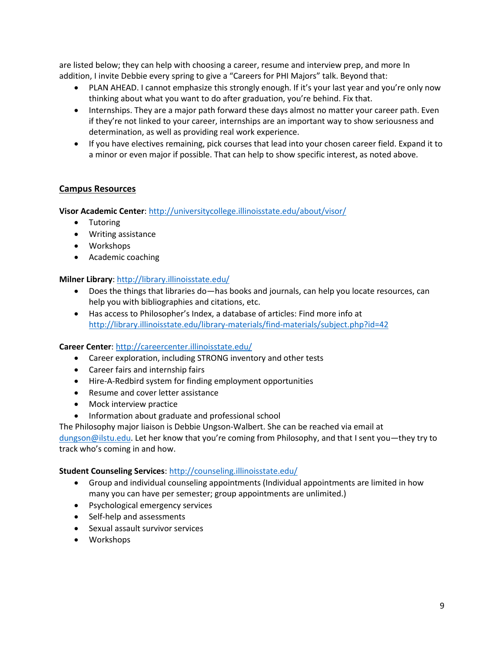are listed below; they can help with choosing a career, resume and interview prep, and more In addition, I invite Debbie every spring to give a "Careers for PHI Majors" talk. Beyond that:

- PLAN AHEAD. I cannot emphasize this strongly enough. If it's your last year and you're only now thinking about what you want to do after graduation, you're behind. Fix that.
- Internships. They are a major path forward these days almost no matter your career path. Even if they're not linked to your career, internships are an important way to show seriousness and determination, as well as providing real work experience.
- If you have electives remaining, pick courses that lead into your chosen career field. Expand it to a minor or even major if possible. That can help to show specific interest, as noted above.

#### **Campus Resources**

**Visor Academic Center**[: http://universitycollege.illinoisstate.edu/about/visor/](http://universitycollege.illinoisstate.edu/about/visor/)

- Tutoring
- Writing assistance
- Workshops
- Academic coaching

#### **Milner Library**:<http://library.illinoisstate.edu/>

- Does the things that libraries do—has books and journals, can help you locate resources, can help you with bibliographies and citations, etc.
- Has access to Philosopher's Index, a database of articles: Find more info at <http://library.illinoisstate.edu/library-materials/find-materials/subject.php?id=42>

#### **Career Center**[: http://careercenter.illinoisstate.edu/](http://careercenter.illinoisstate.edu/)

- Career exploration, including STRONG inventory and other tests
- Career fairs and internship fairs
- Hire-A-Redbird system for finding employment opportunities
- Resume and cover letter assistance
- Mock interview practice
- Information about graduate and professional school

The Philosophy major liaison is Debbie Ungson-Walbert. She can be reached via email at [dungson@ilstu.edu.](mailto:dungson@ilstu.edu) Let her know that you're coming from Philosophy, and that I sent you—they try to track who's coming in and how.

#### **Student Counseling Services**[: http://counseling.illinoisstate.edu/](http://counseling.illinoisstate.edu/)

- Group and individual counseling appointments (Individual appointments are limited in how many you can have per semester; group appointments are unlimited.)
- Psychological emergency services
- Self-help and assessments
- Sexual assault survivor services
- Workshops